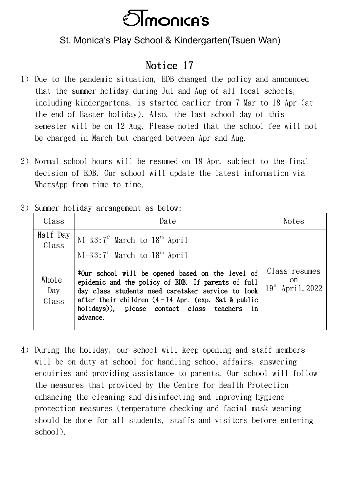

## St. Monica's Play School & Kindergarten(Tsuen Wan)

## Notice 17

- 1) Due to the pandemic situation, EDB changed the policy and announced that the summer holiday during Jul and Aug of all local schools, including kindergartens, is started earlier from 7 Mar to 18 Apr (at the end of Easter holiday). Also, the last school day of this semester will be on 12 Aug. Please noted that the school fee will not be charged in March but charged between Apr and Aug.
- 2) Normal school hours will be resumed on 19 Apr, subject to the final decision of EDB. Our school will update the latest information via WhatsApp from time to time.
- 3) Summer holiday arrangement as below:

| Class                                 | Date                                                                                                                                                                                                                                                                                                                 | <b>Notes</b>                                        |
|---------------------------------------|----------------------------------------------------------------------------------------------------------------------------------------------------------------------------------------------------------------------------------------------------------------------------------------------------------------------|-----------------------------------------------------|
| $\text{Ha}$ if $-\text{Day}$<br>Class | $N1-K3:7th March to 18th April$                                                                                                                                                                                                                                                                                      |                                                     |
| $Whole-$<br>Day<br>Class              | $N1-K3:7th$ March to $18th$ April<br>*Our school will be opened based on the level of<br>epidemic and the policy of EDB. If parents of full<br>day class students need caretaker service to look<br>after their children $(4-14$ Apr. (exp. Sat & public<br>holidays)), please contact class teachers in<br>advance. | Class resumes<br>on<br>19 <sup>th</sup> April, 2022 |

4) During the holiday, our school will keep opening and staff members will be on duty at school for handling school affairs, answering enquiries and providing assistance to parents. Our school will follow the measures that provided by the Centre for Health Protection enhancing the cleaning and disinfecting and improving hygiene protection measures (temperature checking and facial mask wearing should be done for all students, staffs and visitors before entering school).